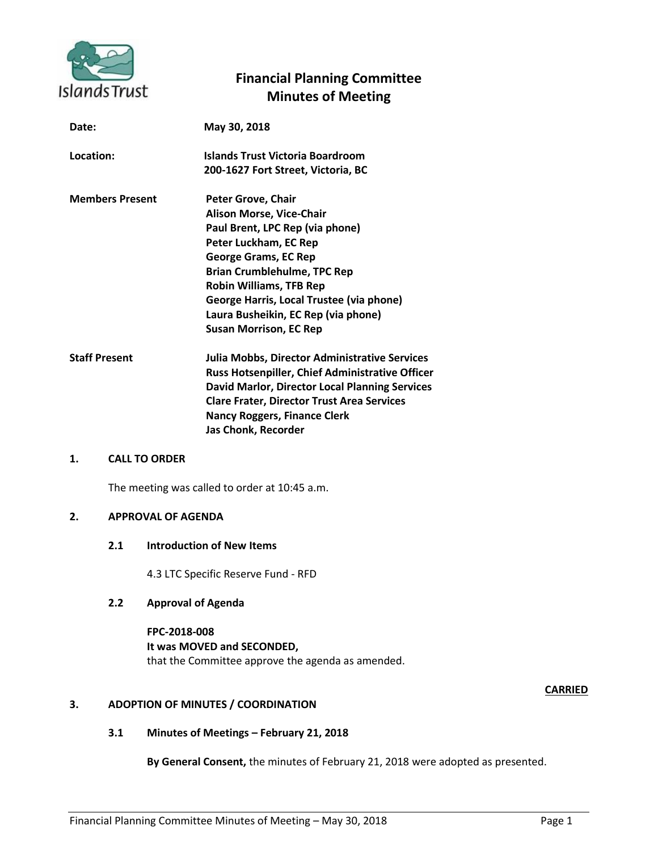

# **Financial Planning Committee Minutes of Meeting**

| Date:                  | May 30, 2018                                           |
|------------------------|--------------------------------------------------------|
| Location:              | Islands Trust Victoria Boardroom                       |
|                        | 200-1627 Fort Street, Victoria, BC                     |
| <b>Members Present</b> | Peter Grove, Chair                                     |
|                        | <b>Alison Morse, Vice-Chair</b>                        |
|                        | Paul Brent, LPC Rep (via phone)                        |
|                        | Peter Luckham, EC Rep                                  |
|                        | <b>George Grams, EC Rep</b>                            |
|                        | <b>Brian Crumblehulme, TPC Rep</b>                     |
|                        | <b>Robin Williams, TFB Rep</b>                         |
|                        | George Harris, Local Trustee (via phone)               |
|                        | Laura Busheikin, EC Rep (via phone)                    |
|                        | <b>Susan Morrison, EC Rep</b>                          |
| <b>Staff Present</b>   | Julia Mobbs, Director Administrative Services          |
|                        | <b>Russ Hotsenpiller, Chief Administrative Officer</b> |
|                        | David Marlor, Director Local Planning Services         |
|                        | <b>Clare Frater, Director Trust Area Services</b>      |
|                        | <b>Nancy Roggers, Finance Clerk</b>                    |
|                        | Jas Chonk, Recorder                                    |
|                        |                                                        |

# **1. CALL TO ORDER**

The meeting was called to order at 10:45 a.m.

# **2. APPROVAL OF AGENDA**

### **2.1 Introduction of New Items**

4.3 LTC Specific Reserve Fund - RFD

# **2.2 Approval of Agenda**

**FPC-2018-008 It was MOVED and SECONDED,** that the Committee approve the agenda as amended.

# **CARRIED**

# **3. ADOPTION OF MINUTES / COORDINATION**

# **3.1 Minutes of Meetings – February 21, 2018**

**By General Consent,** the minutes of February 21, 2018 were adopted as presented.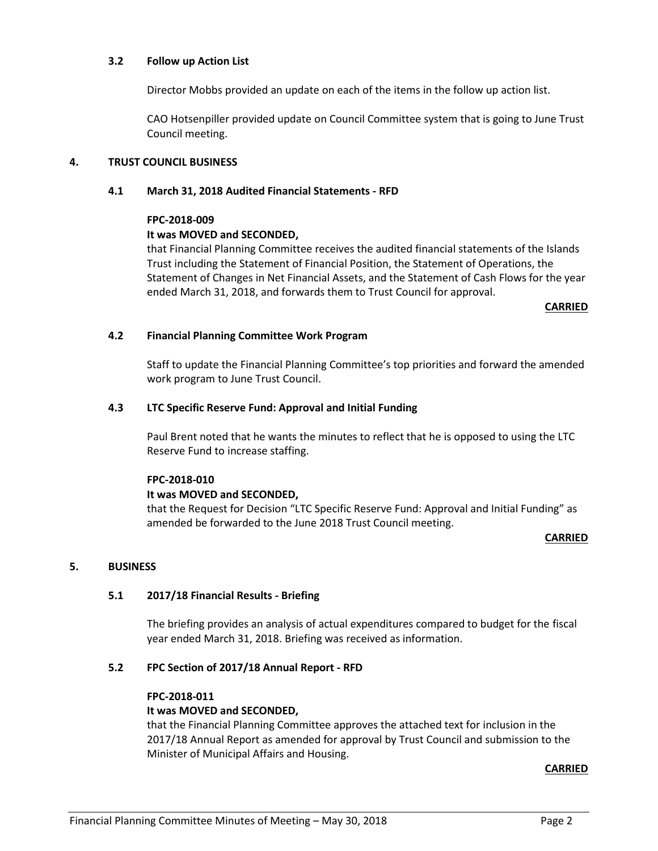## **3.2 Follow up Action List**

Director Mobbs provided an update on each of the items in the follow up action list.

CAO Hotsenpiller provided update on Council Committee system that is going to June Trust Council meeting.

## **4. TRUST COUNCIL BUSINESS**

## **4.1 March 31, 2018 Audited Financial Statements - RFD**

#### **FPC-2018-009**

## **It was MOVED and SECONDED,**

that Financial Planning Committee receives the audited financial statements of the Islands Trust including the Statement of Financial Position, the Statement of Operations, the Statement of Changes in Net Financial Assets, and the Statement of Cash Flows for the year ended March 31, 2018, and forwards them to Trust Council for approval.

**CARRIED**

## **4.2 Financial Planning Committee Work Program**

Staff to update the Financial Planning Committee's top priorities and forward the amended work program to June Trust Council.

## **4.3 LTC Specific Reserve Fund: Approval and Initial Funding**

Paul Brent noted that he wants the minutes to reflect that he is opposed to using the LTC Reserve Fund to increase staffing.

#### **FPC-2018-010**

# **It was MOVED and SECONDED,**

that the Request for Decision "LTC Specific Reserve Fund: Approval and Initial Funding" as amended be forwarded to the June 2018 Trust Council meeting.

#### **CARRIED**

# **5. BUSINESS**

# **5.1 2017/18 Financial Results - Briefing**

The briefing provides an analysis of actual expenditures compared to budget for the fiscal year ended March 31, 2018. Briefing was received as information.

# **5.2 FPC Section of 2017/18 Annual Report - RFD**

#### **FPC-2018-011**

# **It was MOVED and SECONDED,**

that the Financial Planning Committee approves the attached text for inclusion in the 2017/18 Annual Report as amended for approval by Trust Council and submission to the Minister of Municipal Affairs and Housing.

**CARRIED**